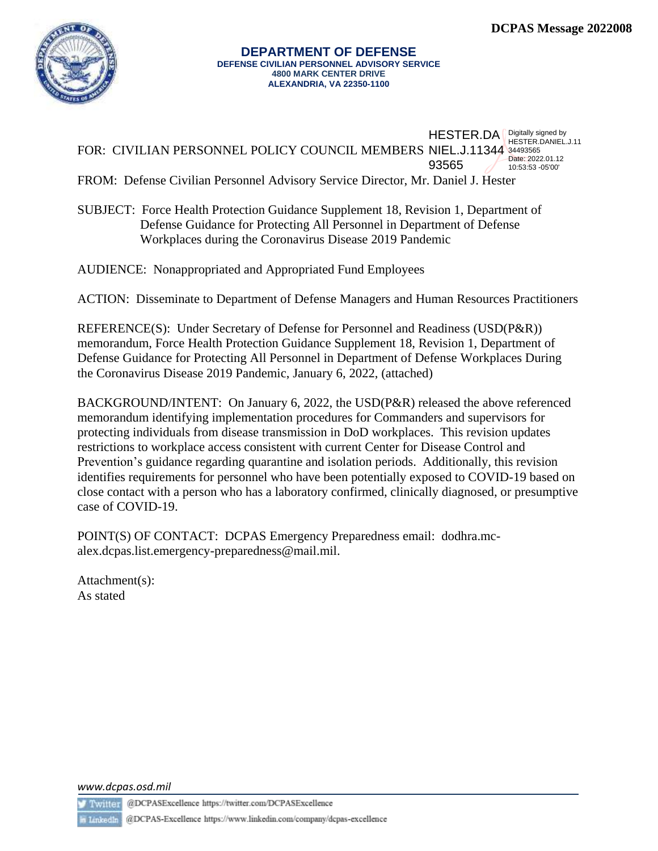

#### **DEPARTMENT OF DEFENSE DEFENSE CIVILIAN PERSONNEL ADVISORY SERVICE 4800 MARK CENTER DRIVE ALEXANDRIA, VA 22350-1100**

|                                                                                  | $HESTER.DA$ $PIESTER.DAY$ HESTER. DANIEL.J.11 |                                      |
|----------------------------------------------------------------------------------|-----------------------------------------------|--------------------------------------|
| FOR: CIVILIAN PERSONNEL POLICY COUNCIL MEMBERS NIEL.J.11344 34493565             |                                               |                                      |
|                                                                                  | 93565                                         | Date: 2022.01.12<br>10:53:53 -05'00' |
| FROM: Defense Civilian Personnel Advisory Service Director, Mr. Daniel J. Hester |                                               |                                      |

SUBJECT: Force Health Protection Guidance Supplement 18, Revision 1, Department of Defense Guidance for Protecting All Personnel in Department of Defense Workplaces during the Coronavirus Disease 2019 Pandemic

AUDIENCE: Nonappropriated and Appropriated Fund Employees

ACTION: Disseminate to Department of Defense Managers and Human Resources Practitioners

REFERENCE(S): Under Secretary of Defense for Personnel and Readiness (USD(P&R)) memorandum, Force Health Protection Guidance Supplement 18, Revision 1, Department of Defense Guidance for Protecting All Personnel in Department of Defense Workplaces During the Coronavirus Disease 2019 Pandemic, January 6, 2022, (attached)

BACKGROUND/INTENT: On January 6, 2022, the USD(P&R) released the above referenced memorandum identifying implementation procedures for Commanders and supervisors for protecting individuals from disease transmission in DoD workplaces. This revision updates restrictions to workplace access consistent with current Center for Disease Control and Prevention's guidance regarding quarantine and isolation periods. Additionally, this revision identifies requirements for personnel who have been potentially exposed to COVID-19 based on close contact with a person who has a laboratory confirmed, clinically diagnosed, or presumptive case of COVID-19.

POINT(S) OF CONTACT: DCPAS Emergency Preparedness email: [dodhra.mc](mailto:dodhra.mc-alex.dcpas.list.emergency-preparedness@mail.mil)[alex.dcpas.list.emergency-preparedness@mail.mil.](mailto:dodhra.mc-alex.dcpas.list.emergency-preparedness@mail.mil)

Attachment(s): As stated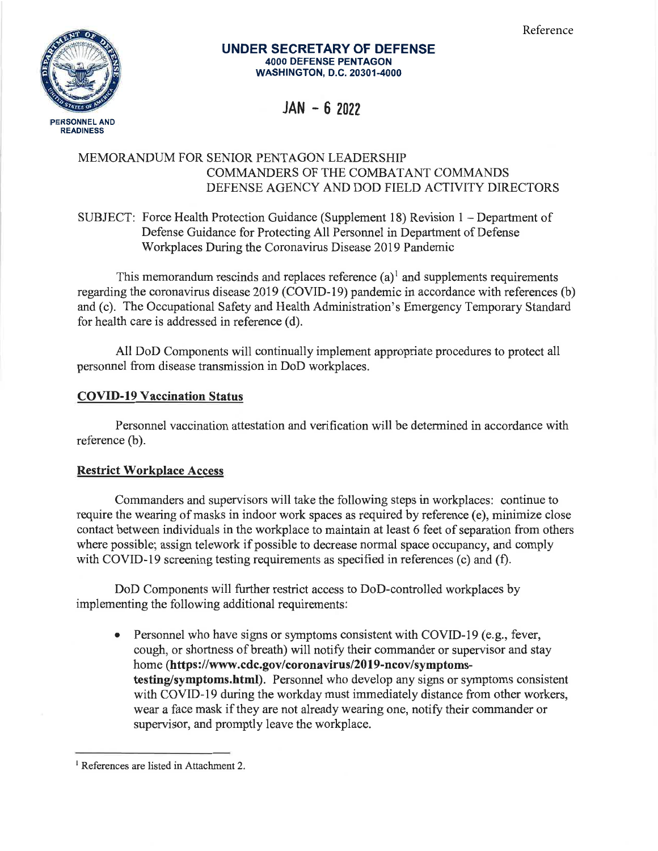Reference



#### UNDER SECRETARY OF DEFENSE 4OOO DEFENSE PENTAGON WASHINGTON, D.C. 20301-4000

# $JAN - 6 2022$

# MEMORANDUM FOR SENIOR PENTAGON LEADERSHIP COMMANDERS OF THE COMBATANT COMMANDS DEFENSE AGENCY AND DOD FIELD ACTIVITY DIRECTORS

SUBJECT: Force Health Protection Guidance (Supplement 18) Revision 1 - Department of Defense Guidance for Protecting All Personnel in Department of Defense Workplaces During the Coronavirus Disease 2019 Pandemic

This memorandum rescinds and replaces reference  $(a)^{1}$  and supplements requirements regarding the coronavirus disease 2019 (COVID-19) pandemic in accordance with references (b) and (c). The Occupational Safety and Health Administration's Emergency Temporary Standard for health care is addressed in reference (d).

All DoD Components will continually implement appropriate procedures to protect all personnel from disease transmission in DoD workplaces.

## COVID-l9 Vaccination Status

Personnel vaccination attestation and verification will be determined in accordance with reference (b).

# **Restrict Workplace Access**

Commanders and supervisors will take the following steps in workplaces: continue to require the wearing of masks in indoor work spaces as required by reference (e), minimize close contact between individuals in the workplace to maintain at least 6 feet of separation from others where possible; assign telework if possible to decrease normal space occupancy, and comply with COVID-19 screening testing requirements as specified in references (c) and (f).

DoD Components will further restrict access to DoD-controlled workplaces by implementing the following additional requirements :

• Personnel who have signs or symptoms consistent with COVID-19 (e.g., fever, cough, or shortness of breath) will notify their commander or supervisor and stay home (https://www.cdc.gov/coronavirus/2019-ncov/symptomstesting/symptoms.html). Personnel who develop any signs or symptoms consistent with COVID-19 during the workday must immediately distance from other workers, wear a face mask if they are not already wearing one, notify their commander or supervisor, and promptly leave the workplace.

<sup>&</sup>lt;sup>1</sup> References are listed in Attachment 2.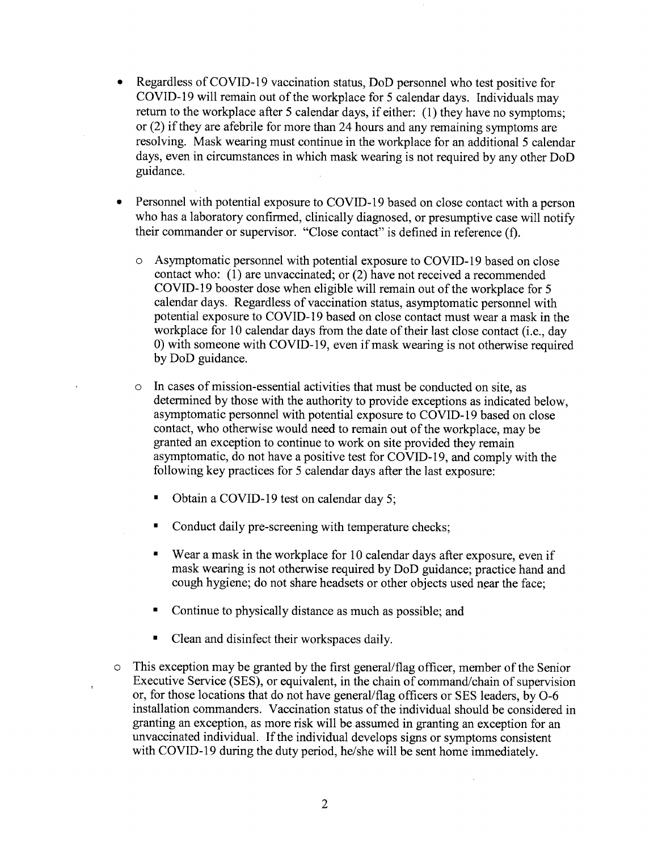- a Regardless of COVID-I9 vaccination status, DoD personnel who test positive for COVID-19 will remain out of the workplace for 5 calendar days. Individuals may return to the workplace after 5 calendar days, if either: (1) they have no symptoms; or (2) if they are afebrile for more than24 hours and any remaining syrnptoms are resolving. Mask wearing must continue in the workplace for an additional 5 calendar days, even in circumstances in which mask wearing is not required by any other DoD guidance.
- a Personnel with potential exposure to COVID-19 based on close contact with a person who has a laboratory confirmed, clinically diagnosed, or presumptive case will notify their commander or supervisor. "Close contact" is defined in reference (f).
	- o Asymptomatic personnel with potential exposure to COVID-l9 based on close contact who: (1) are unvaccinated; or (2) have not received a recommended COVID-19 booster dose when eligible will remain out of the workplace for 5 calendar days. Regardless of vaccination status, asyrnptomatic personnel with potential exposure to COVID-19 based on close contact must wear a mask in the workplace for 10 calendar days from the date of their last close contact (i.e., day 0) with someone with COVID-l9, even if mask wearing is not otherwise required by DoD guidance.
	- In cases of mission-essential activities that must be conducted on site, as determined by those with the authority to provide exceptions as indicated below, asymptomatic personnel with potential exposure to COVID-l9 based on close contact, who otherwise would need to remain out of the workplace, may be granted an exception to continue to work on site provided they remain asymptomatic, do not have a positive test for COVID-19, and comply with the following key practices for 5 calendar days after the last exposure:
		- Obtain a COVID-19 test on calendar day 5;  $\blacksquare$
		- Ė Conduct daily pre-screening with temperature checks;
		- Wear a mask in the workplace for 10 calendar days after exposure, even if mask wearing is not otherwise required by DoD guidance; practice hand and cough hygiene; do not share headsets or other objects used near the face;
		- Continue to physically distance as much as possible; and
		- $\blacksquare$ Clean and disinfect their workspaces daily.
- This exception may be granted by the first general/flag officer, member of the Senior Executive Service (SES), or equivalent, in the chain of command/chain of supervision or, for those locations that do not have general/flag officers or SES leaders, by O-6 installation commanders. Vaccination status of the individual should be considered in granting an exception, as more risk will be assumed in granting an exception for an unvaccinated individual. If the individual develops signs or symptoms consistent with COVID-19 during the duty period, he/she will be sent home immediately.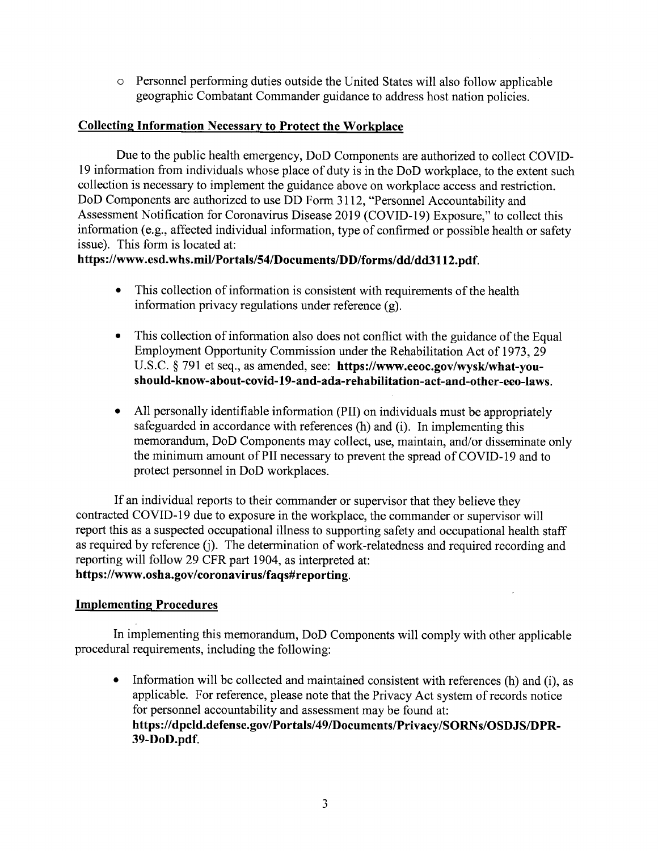$\circ$  Personnel performing duties outside the United States will also follow applicable geographic Combatant Commander guidance to address host nation policies.

#### Collecting Information Necessary to Protect the Workplace

Due to the public health emergency, DoD Components are authorized to collect COVID-19 information from individuals whose place of duty is in the DoD workplace, to the extent such collection is necessary to implement the guidance above on workplace access and restriction. DoD Components are authorized to use DD Form 3112, "Personnel Accountability and Assessment Notification for Coronavirus Disease 2019 (COVID-I9) Exposure," to collect this information (e.g., affected individual information, type of confirmed or possible health or safety issue). This form is located at:

# https://www.esd.whs.mil/Portals/54/Documents/DD/forms/dd/dd3112.pdf.

- This collection of information is consistent with requirements of the health information privacy regulations under reference (g).
- This collection of information also does not conflict with the guidance of the Equal Employrnent Opportunity Commission under the Rehabilitation Act of 1973,29 U.S.C. \$ 791 et seq., as amended, see: https://www.eeoc.gov/wysk/what-youshould-know-about-covid-19-and-ada-rehabilitation-act-and-other-eeo-laws. o
- All personally identifiable information (PII) on individuals must be appropriately safeguarded in accordance with references (h) and (i). In implementing this memorandum, DoD Components may collect, use, maintain, and/or disseminate only the minimum amount of PII necessary to prevent the spread of COVID-19 and to protect personnel in DoD workplaces. a

If an individual reports to their commander or supervisor that they believe they contracted COVID-19 due to exposure in the workplace, the commander or supervisor will report this as a suspected occupational illness to supporting safety and occupational health staff as required by reference fi). The determination of work-relatedness and required recording and reporting will follow 29 CFR part 1904, as interpreted at: https://www.osha.gov/coronavirus/faqs#reporting.

#### Implementing Procedures

In implementing this memorandum, DoD Components will comply with other applicable procedural requirements, including the following:

Information will be collected and maintained consistent with references (h) and (i), as applicable. For reference, please note that the Privacy Act system of records notice for personnel accountability and assessment may be found at: https://dpcld.defense.gov/Portals/49lDocuments/Privacy/SORNs/OSDJS/DPR-39-DoD.pdf.  $\bullet$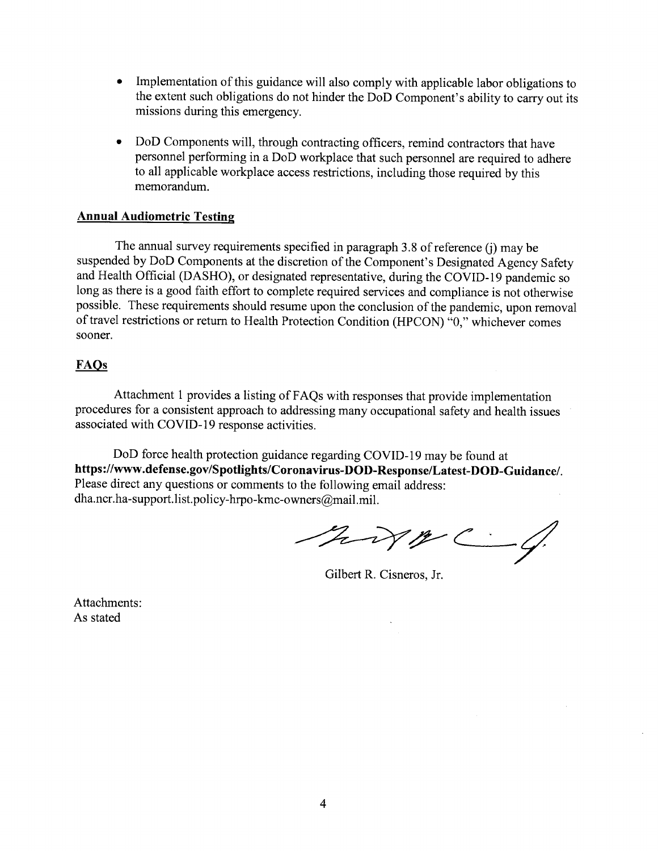- a Implementation of this guidance will also comply with applicable labor obligations to the extent such obligations do not hinder the DoD Component's ability to carry out its missions during this emergency.
- o DoD Components will, through contracting officers, remind contractors that have personnel performing in a DoD workplace that such personnel are required to adhere to all applicable workplace access restrictions, including those required by this memorandum.

#### Annual Audiometric Testing

The annual survey requirements specified in paragraph 3.8 of reference (j) may be suspended by DoD Components at the discretion of the Component's Designated Agency Safety and Health Official (DASHO), or designated representative, during the COVID-l9 pandemic so long as there is a good faith effort to complete required services and compliance is not otherwise possible. These requirements should resume upon the conclusion of the pandemic, upon removal of travel restrictions or return to Health Protection Condition (HPCON) "0," whichever comes sooner.

#### FAOs

Attachment 1 provides a listing of FAQs with responses that provide implementation procedures for a consistent approach to addressing many occupational safety and health issues associated with COWD-I9 response activities.

DoD force health protection guidance regarding COVID-19 may be found at https://wvw.defense.gov/Spotlights/Coronavirus-DOD-Response/Latest-DOD-Guidance/ Please direct any questions or comments to the following email address: dha.ncr.ha-support. list.policy-hrpo-kmc-owners@mail.mil.

hip C-4

Gilbert R. Cisneros, Jr

Attachments: As stated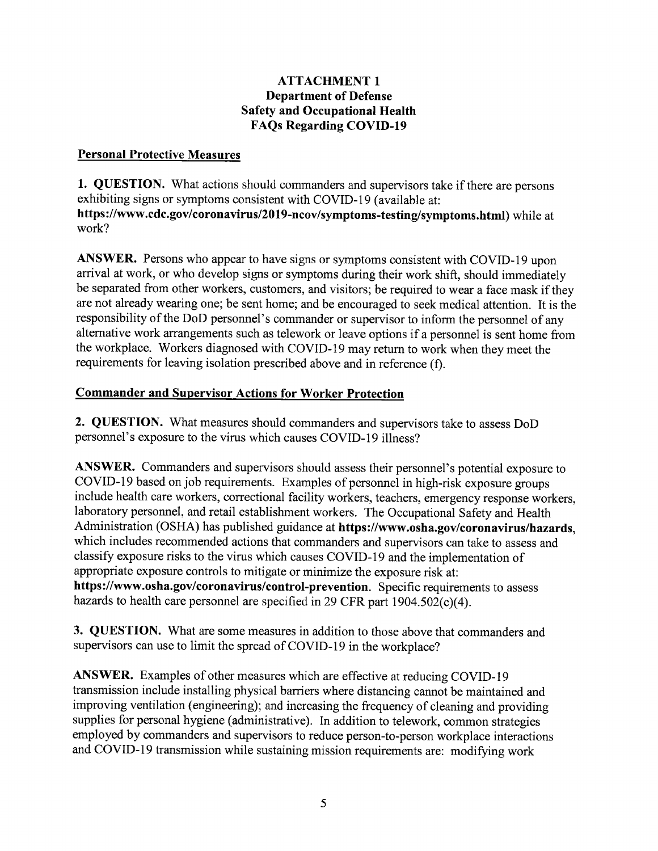#### ATTACHMENT I Department of Defense Safety and Occupational Health FAQs Regarding COVID-l9

## **Personal Protective Measures**

1. QUESTION. What actions should commanders and supervisors take if there are persons exhibiting signs or symptoms consistent with COVID-19 (available at: https://www.cdc.gov/coronavirus/2019-ncov/symptoms-testing/symptoms.html) while at work?

ANSWER. Persons who appear to have signs or symptoms consistent with COVID-19 upon arrival at work, or who develop signs or symptoms during their work shift, should immediately be separated from other workers, customers, and visitors; be required to wear a face mask if they are not already wearing one; be sent home; and be encouraged to seek medical attention. It is the responsibility of the DoD personnel's commander or supervisor to inform the personnel of any alternative work arrangements such as telework or leave options if a personnel is sent home from the workplace. Workers diagnosed with COVID-19 may return to work when they meet the requirements for leaving isolation prescribed above and in reference (f).

## Commander and Supervisor Actions for Worker Protection

2. QUESTION. What measures should commanders and supervisors take to assess DoD personnel's exposure to the virus which causes COVID-l9 illness?

ANSWER. Commanders and supervisors should assess their personnel's potential exposure to COVID-l9 based on job requirements. Examples of personnel in high-risk exposure groups include health care workers, correctional facility workers, teachers, emergency response workers, laboratory personnel, and retail establishment workers. The Occupational Safety and Health Administration (OSHA) has published guidance at https://www.osha.gov/coronavirus/hazards, which includes recommended actions that commanders and supervisors can take to assess and classifu exposure risks to the virus which causes COVID-l9 and the implementation of appropriate exposure controls to mitigate or minimize the exposure risk at: https://www.osha.gov/coronavirus/control-prevention. Specific requirements to assess hazards to health care personnel are specified in 29 CFR part  $1904.502(c)(4)$ .

3. QUESTION. What are some measures in addition to those above that commanders and supervisors can use to limit the spread of COVID-19 in the workplace?

ANSWER. Examples of other measures which are effective at reducing COVID-19 transmission include installing physical barriers where distancing cannot be maintained and improving ventilation (engineering); and increasing the frequency of cleaning and providing supplies for personal hygiene (administrative). In addition to telework, common strategies employed by commanders and supervisors to reduce person-to-person workplace interactions and COVID-19 transmission while sustaining mission requirements are: modifying work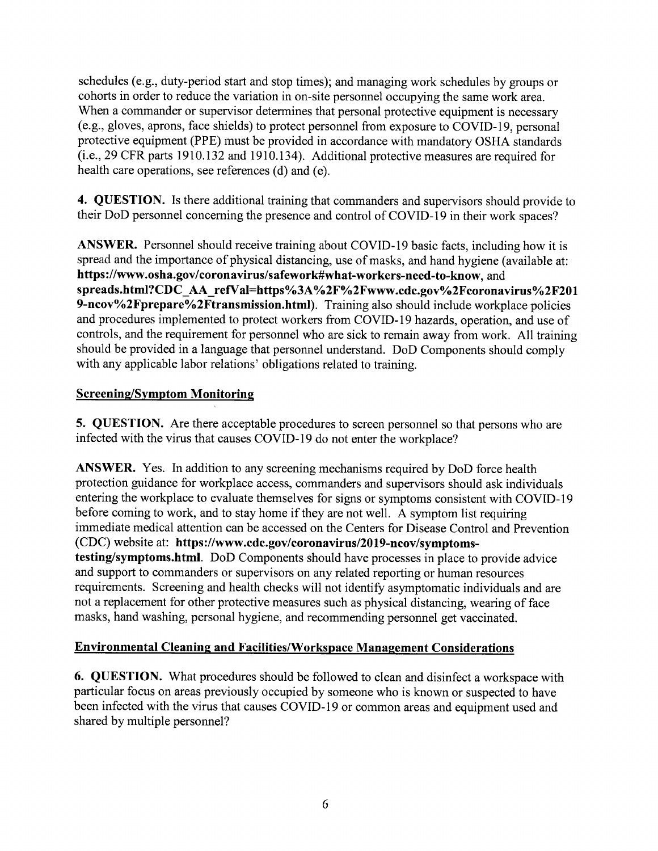schedules (e.g., duty-period start and stop times); and managing work schedules by groups or cohorts in order to reduce the variation in on-site personnel occupying the same work area. When a commander or supervisor determines that personal protective equipment is necessary (e.g., gloves, aprons, face shields) to protect personnel from exposure to COVID-19, personal protective equipment (PPE) must be provided in accordance with mandatory OSHA standards (i.e.,29 CFR parts 1910.132 and 1910.134). Additional protective measures are required for health care operations, see references (d) and (e).

4. QUESTION. Is there additional training that commanders and supervisors should provide to their DoD personnel conceming the presence and control of COVID-I9 in their work spaces?

ANSWER. Personnel should receive training about COVID-19 basic facts, including how it is spread and the importance of physical distancing, use of masks, and hand hygiene (available at: https://www.osha.gov/coronavirus/safework#what-workers-need-to-know, and spreads.html?CDC\_AA\_refVal=https%3A%2F%2Fwww.cdc.gov%2Fcoronavirus%2F201 9-ncov%2Fprepare%2Ftransmission.html). Training also should include workplace policies and procedures implemented to protect workers from COVID-19 hazards, operation, and use of controls, and the requirement for personnel who are sick to remain away from work. All training should be provided in a language that personnel understand. DoD Components should comply with any applicable labor relations' obligations related to training.

## Screening/Svmptom Monitoring

5. QUESTION. Are there acceptable procedures to screen personnel so that persons who are infected with the virus that causes COVID-19 do not enter the workplace?

ANSWER. Yes. In addition to any screening mechanisms required by DoD force health protection guidance for workplace access, commanders and supervisors should ask individuals entering the workplace to evaluate themselves for signs or symptoms consistent with COVID-19 before coming to work, and to stay home if they are not well. A symptom list requiring immediate medical attention can be accessed on the Centers for Disease Control and Prevention (CDC) website at: https://www.cdc.gov/coronavirus/2019-ncov/symptomstesting/symptoms.html. DoD Components should have processes in place to provide advice and support to commanders or supervisors on any related reporting or human resources requirements. Screening and health checks will not identify asymptomatic individuals and are not a replacement for other protective measures such as physical distancing, wearing of face masks, hand washing, personal hygiene, and recommending personnel get vaccinated.

# Environmental Cleaning and Facilities/\üorkspace Management Considerations

6. QUESTION. What procedures should be followed to clean and disinfect a workspace with particular focus on areas previously occupied by someone who is known or suspected to have been infected with the virus that causes COVID-I9 or common areas and equipment used and shared by multiple personnel?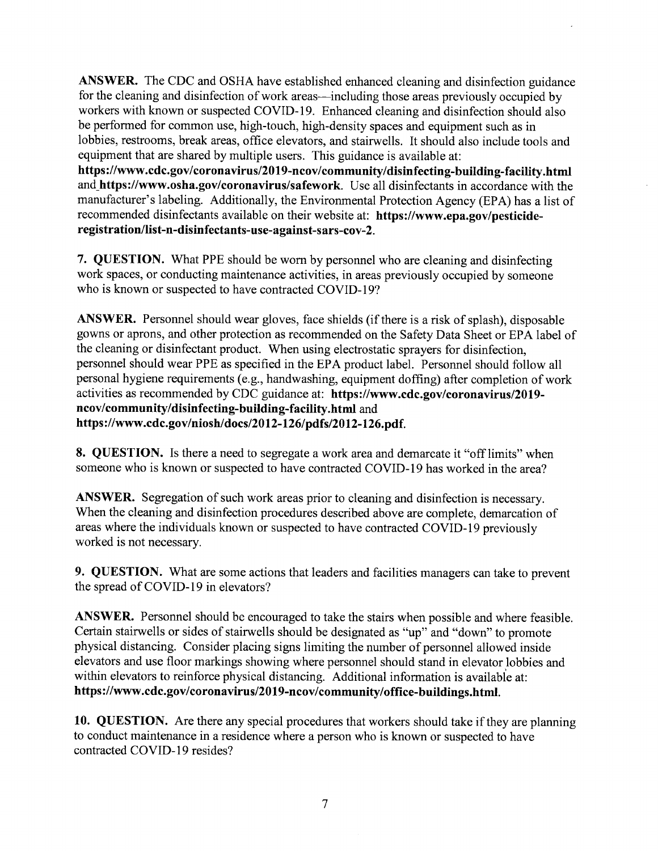ANSWER. The CDC and OSHA have established enhanced cleaning and disinfection guidance for the cleaning and disinfection of work areas—including those areas previously occupied by workers with known or suspected COVID-19. Enhanced cleaning and disinfection should also be performed for common use, high-touch, high-density spaces and equipment such as in lobbies, restrooms, break areas, office elevators, and stairwells. It should also include tools and equipment that are shared by multiple users. This guidance is available at: https://www.cdc.gov/coronavirus/2019-ncov/community/disinfecting-building-facility.html and\_https://www.osha.gov/coronavirus/safework. Use all disinfectants in accordance with the manufacturer's labeling. Additionally, the Environmental Protection Agency (EPA) has a list of recommended disinfectants available on their website at: https://www.epa.gov/pesticide-

registration/list-n-disinfectants-use-against-sars-cov-2.

7. QUESTION. What PPE should be worn by personnel who are cleaning and disinfecting work spaces, or conducting maintenance activities, in areas previously occupied by someone who is known or suspected to have contracted COVID-19?

ANSWER. Personnel should wear gloves, face shields (if there is a risk of splash), disposable gowns or aprons, and other protection as recommended on the Safety Data Sheet or EPA label of the cleaning or disinfectant product. When using electrostatic sprayers for disinfection, personnel should wear PPE as specified in the EPA product label. Personnel should follow all personal hygiene requirements (e.g., handwashing, equipment doffing) after completion of work activities as recommended by CDC guidance at: https://www.cdc.gov/coronavirus/2019ncov/community/disinfecting-building-facility.html and https://www.cdc.gov/niosh/docs/2012-126/pdfs/2012-126.pdf.

8. QUESTION. Is there a need to segregate a work area and demarcate it "off limits" when someone who is known or suspected to have contracted COVID-I9 has worked in the area?

ANSWER. Segregation of such work areas prior to cleaning and disinfection is necessary. When the cleaning and disinfection procedures described above are complete, demarcation of areas where the individuals known or suspected to have contracted COVID-19 previously worked is not necessary.

9. QUESTION. What are some actions that leaders and facilities managers can take to prevent the spread of COVID-l9 in elevators?

ANSWER. Personnel should be encouraged to take the stairs when possible and where feasible. Certain stairwells or sides of stairwells should be designated as "up" and "down" to promote physical distancing. Consider placing signs limiting the number of personnel allowed inside elevators and use floor markings showing where personnel should stand in elevator lobbies and within elevators to reinforce physical distancing. Additional information is available at: https://www.cdc.gov/coronavirus/2019-ncov/community/office-buildings.html.

10. QUESTION. Are there any special procedures that workers should take if they are planning to conduct maintenance in a residence where a person who is known or suspected to have contracted COVID-19 resides?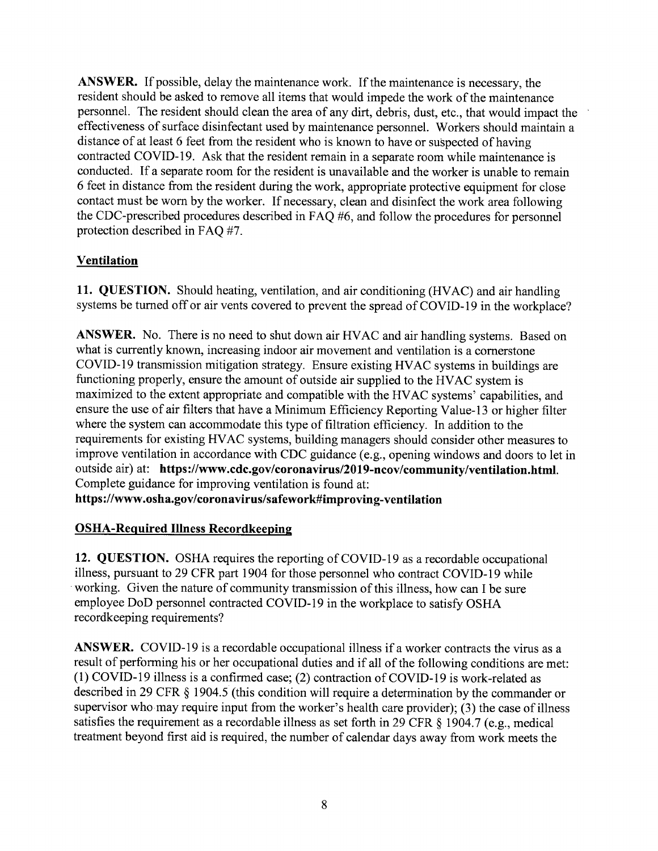ANSWER. If possible, delay the maintenance work. If the maintenance is necessary, the resident should be asked to remove all items that would impede the work of the maintenance personnel. The resident should clean the area of any dirt, debris, dust, etc., that would impact the effectiveness of surface disinfectant used by maintenance personnel. Workers should maintain a distance of at least 6 feet from the resident who is known to have or suspected of having contracted COVID-19. Ask that the resident remain in a separate room while maintenance is conducted. If a separate room for the resident is unavailable and the worker is unable to remain 6 feet in distance from the resident during the work, appropriate protective equipment for close contact must be worn by the worker. If necessary, clean and disinfect the work area following the CDC-prescribed procedures described in FAQ #6, and follow the procedures for personnel protection described in FAQ #7.

# **Ventilation**

11. QUESTION. Should heating, ventilation, and air conditioning (HVAC) and air handling systems be turned off or air vents covered to prevent the spread of COVID-19 in the workplace?

ANSWER. No. There is no need to shut down air HVAC and air handling systems. Based on what is currently known, increasing indoor air movement and ventilation is a comerstone COVID-19 transmission mitigation strategy. Ensure existing HVAC systems in buildings are functioning properly, ensure the amount of outside air supplied to the HVAC system is maximized to the extent appropriate and compatible with the HVAC systems' capabilities, and ensure the use of air filters that have a Minimum Efficiency Reporting Value-13 or higher filter where the system can accommodate this type of filtration efficiency. In addition to the requirements for existing HVAC systems, building managers should consider other measures to improve ventilation in accordance with CDC guidance (e.g., opening windows and doors to let in outside air) at: https://www.cdc.gov/coronavirus/2019-ncov/community/ventilation.html. Complete guidance for improving ventilation is found at:

https://www.osha.gov/coronavirus/safework#improving-ventilation

# OSHA-Required Illness Recordkeepins

12. QUESTION. OSHA requires the reporting of COVID-l9 as a recordable occupational illness, pursuant to 29 CFR part 1904 for those personnel who contract COVID-l9 while working. Given the nature of community transmission of this illness, how can I be sure employee DoD personnel contracted COVID-l9 in the workplace to satisfy OSHA recordkeeping requirements?

ANSWER. COVID-19 is a recordable occupational illness if a worker contracts the virus as a result of performing his or her occupational duties and if all of the following conditions are met: (l) COVID-l9 illness is a confirmed case; (2) contraction of COVID-l9 is work-related as described in 29 CFR \$ 1904.5 (this condition will require a determination by the commander or supervisor who may require input from the worker's health care provider); (3) the case of illness satisfies the requirement as a recordable illness as set forth in 29 CFR § 1904.7 (e.g., medical treatment beyond first aid is required, the number of calendar days away from work meets the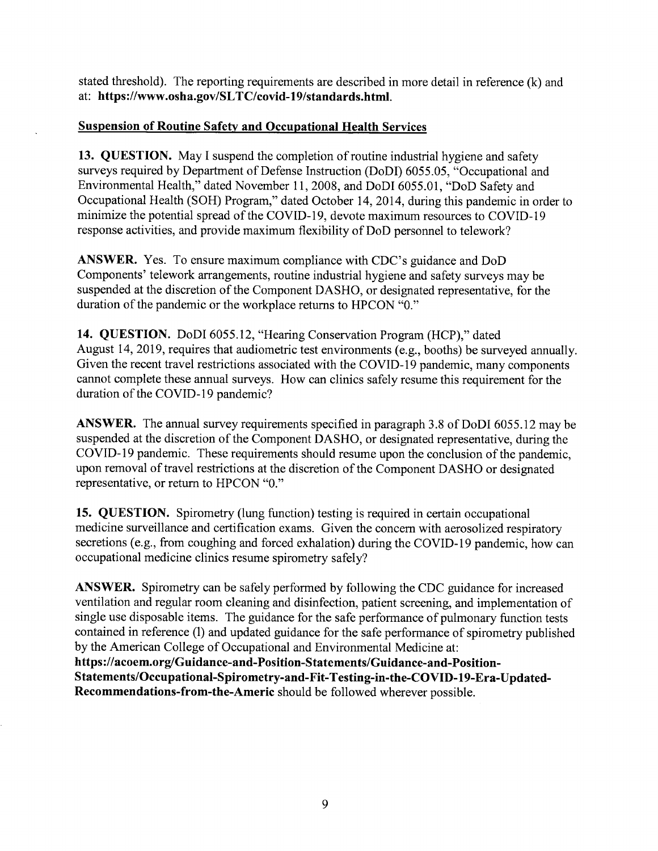stated threshold). The reporting requirements are described in more detail in reference (k) and at: https ://www.osha.gov/SlTC/covid-19/standards.html.

#### Suspension of Routine Safety and Occupational Health Services

13. QUESTION. May I suspend the completion of routine industrial hygiene and safety surveys required by Department of Defense Instruction (DoDI) 6055.05, "Occupational and Environmental Health," dated November 11, 2008, and DoDI 6055.01, "DoD Safety and Occupational Health (SOH) Program," dated October 14,2014, during this pandemic in order to minimize the potential spread of the COVID-l9, devote maximum resources to COVID-l9 response activities, and provide maximum flexibility of DoD personnel to telework?

ANSWER. Yes. To ensure maximum compliance with CDC's guidance and DoD Components' telework arrangements, routine industrial hygiene and safety surveys may be suspended at the discretion of the Component DASHO, or designated representative, for the duration of the pandemic or the workplace returns to HPCON "0."

14. QUESTION. DoDI 6055.12, "Hearing Conservation Program (HCP)," dated August 14,2019, requires that audiometric test environments (e.g., booths) be surveyed annually. Given the recent travel restrictions associated with the COVID-l9 pandemic, many components cannot complete these annual surveys. How can clinics safely resume this requirement for the duration of the COVID-I9 pandemic?

ANSWER. The annual survey requirements specified in paragraph 3.8 of DoDI 6055.12 may be suspended at the discretion of the Component DASHO, or designated representative, during the COVID-l9 pandemic. These requirements should resume upon the conclusion of the pandemic, upon removal of travel restrictions at the discretion of the Component DASHO or designated representative, or retum to HPCON "0."

15. QUESTION. Spirometry (lung function) testing is required in certain occupational medicine surveillance and certification exams. Given the concern with aerosolized respiratory secretions (e.g., from coughing and forced exhalation) during the COVID-19 pandemic, how can occupational medicine clinics resume spirometry safely?

ANSWER. Spirometry can be safely performed by following the CDC guidance for increased ventilation and regular room cleaning and disinfection, patient screening, and implementation of single use disposable items. The guidance for the safe performance of pulmonary function tests contained in reference (l) and updated guidance for the safe performance of spirometry published by the American College of Occupational and Environmental Medicine at:

https://acoem.org/Guidance-and-Position-Statements/Guidance-and-Position-Statements/Occupational-Spirometry-and-Fit-Testing-in-the-COVID-19-Era-Updated-Recommendations-from-the-Americ should be followed wherever possible.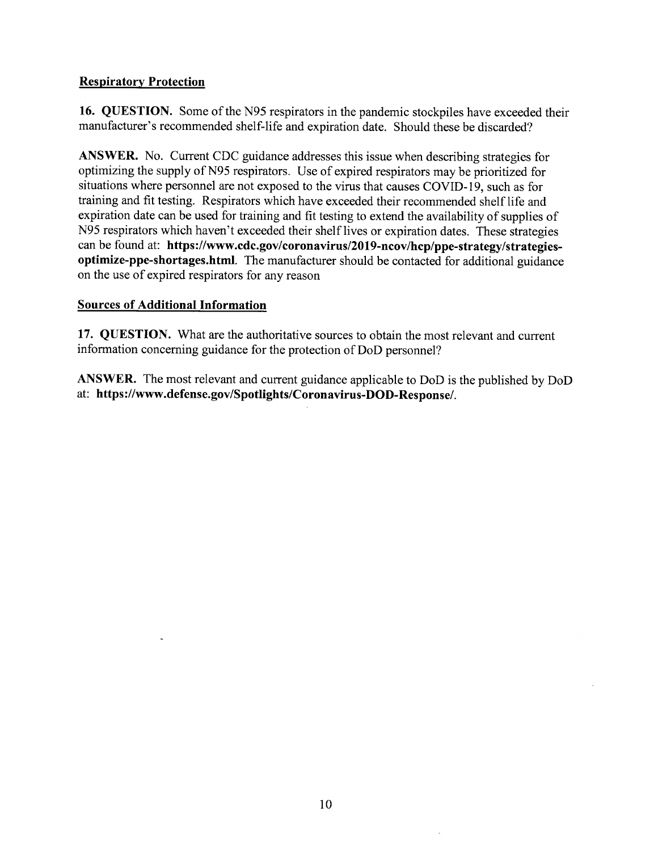## **Respiratory Protection**

16. QUESTION. Some of the N95 respirators in the pandemic stockpiles have exceeded their manufacturer's recommended shelf-life ãnd expiration date. Should these be discarded?

ANSWER. No. Current CDC guidance addresses this issue when describing strategies for optimizing the supply of N95 respirators. Use of expired respirators may be prioritized for situations where personnel are not exposed to the virus that causes COVID-19, such as for training and fit testing. Respirators which have exceeded their recommended shelf life and expiration date can be used for training and fit testing to extend the availability of supplies of N95 respirators which haven't exceeded their shelf lives or expiration dates. These strategies can be found at: https://www.cdc.gov/coronavirus/2019-ncov/hcp/ppe-strategy/strategiesoptimize-ppe-shortages.html. The manufacturer should be contacted for additional guidance on the use of expired respirators for any reason

#### Sources of Additional Information

17. QUESTION. What are the authoritative sources to obtain the most relevant and current information concerning guidance for the protection of DoD personnel?

ANSWER. The most relevant and current guidance applicable to DoD is the published by DoD at: https ://www.defense.gov/Spotlights/Coronavirus-DOD-Response/.